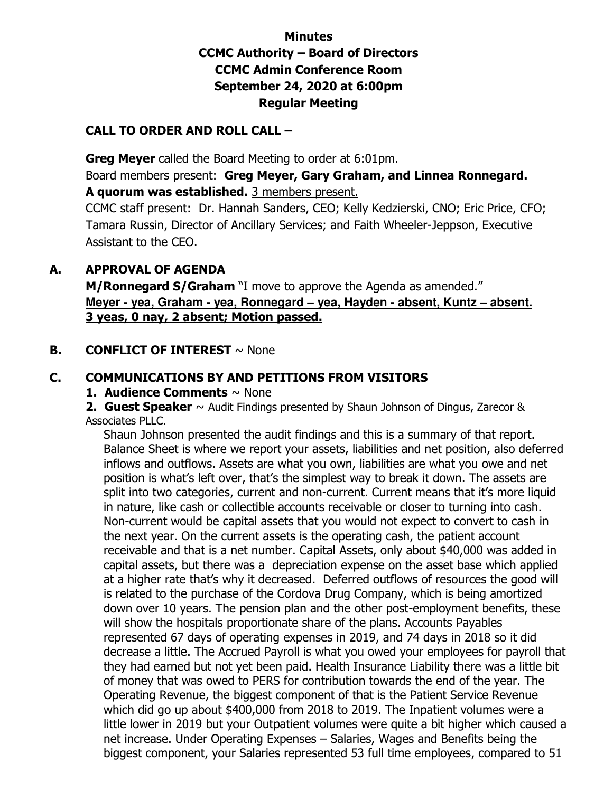# **Minutes CCMC Authority – Board of Directors CCMC Admin Conference Room September 24, 2020 at 6:00pm Regular Meeting**

#### **CALL TO ORDER AND ROLL CALL –**

 **Greg Meyer** called the Board Meeting to order at 6:01pm. Board members present: **Greg Meyer, Gary Graham, and Linnea Ronnegard. A quorum was established.** 3 members present.

CCMC staff present: Dr. Hannah Sanders, CEO; Kelly Kedzierski, CNO; Eric Price, CFO; Tamara Russin, Director of Ancillary Services; and Faith Wheeler-Jeppson, Executive Assistant to the CEO.

#### **A. APPROVAL OF AGENDA**

**M/Ronnegard S/Graham** "I move to approve the Agenda as amended." **Meyer - yea, Graham - yea, Ronnegard – yea, Hayden - absent, Kuntz – absent. 3 yeas, 0 nay, 2 absent; Motion passed.** 

## **B. CONFLICT OF INTEREST** ~ None

#### **C. COMMUNICATIONS BY AND PETITIONS FROM VISITORS**

#### **1. Audience Comments** ~ None

**2. Guest Speaker** ~ Audit Findings presented by Shaun Johnson of Dingus, Zarecor & Associates PLLC.

Shaun Johnson presented the audit findings and this is a summary of that report. Balance Sheet is where we report your assets, liabilities and net position, also deferred inflows and outflows. Assets are what you own, liabilities are what you owe and net position is what's left over, that's the simplest way to break it down. The assets are split into two categories, current and non-current. Current means that it's more liquid in nature, like cash or collectible accounts receivable or closer to turning into cash. Non-current would be capital assets that you would not expect to convert to cash in the next year. On the current assets is the operating cash, the patient account receivable and that is a net number. Capital Assets, only about \$40,000 was added in capital assets, but there was a depreciation expense on the asset base which applied at a higher rate that's why it decreased. Deferred outflows of resources the good will is related to the purchase of the Cordova Drug Company, which is being amortized down over 10 years. The pension plan and the other post-employment benefits, these will show the hospitals proportionate share of the plans. Accounts Payables represented 67 days of operating expenses in 2019, and 74 days in 2018 so it did decrease a little. The Accrued Payroll is what you owed your employees for payroll that they had earned but not yet been paid. Health Insurance Liability there was a little bit of money that was owed to PERS for contribution towards the end of the year. The Operating Revenue, the biggest component of that is the Patient Service Revenue which did go up about \$400,000 from 2018 to 2019. The Inpatient volumes were a little lower in 2019 but your Outpatient volumes were quite a bit higher which caused a net increase. Under Operating Expenses – Salaries, Wages and Benefits being the biggest component, your Salaries represented 53 full time employees, compared to 51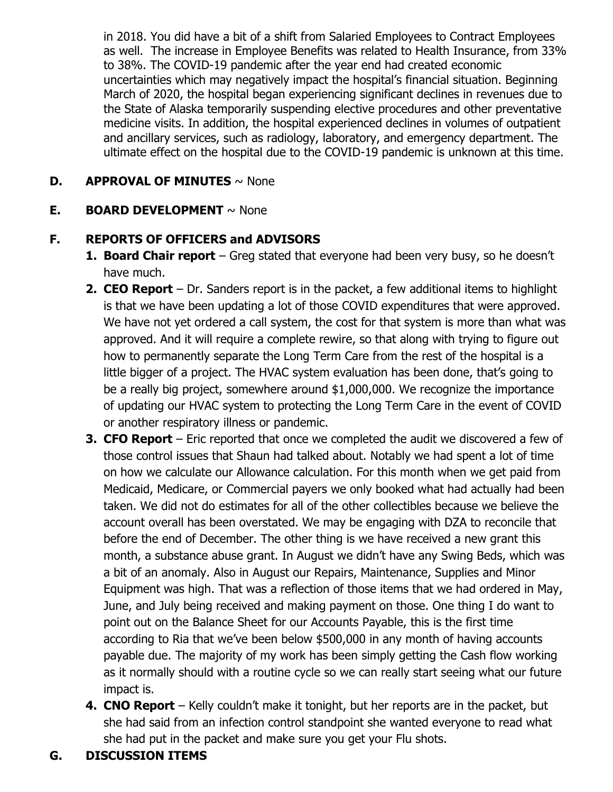in 2018. You did have a bit of a shift from Salaried Employees to Contract Employees as well. The increase in Employee Benefits was related to Health Insurance, from 33% to 38%. The COVID-19 pandemic after the year end had created economic uncertainties which may negatively impact the hospital's financial situation. Beginning March of 2020, the hospital began experiencing significant declines in revenues due to the State of Alaska temporarily suspending elective procedures and other preventative medicine visits. In addition, the hospital experienced declines in volumes of outpatient and ancillary services, such as radiology, laboratory, and emergency department. The ultimate effect on the hospital due to the COVID-19 pandemic is unknown at this time.

## **D. APPROVAL OF MINUTES** ~ None

## **E. BOARD DEVELOPMENT** ~ None

#### **F. REPORTS OF OFFICERS and ADVISORS**

- **1. Board Chair report** Greg stated that everyone had been very busy, so he doesn't have much.
- **2. CEO Report** Dr. Sanders report is in the packet, a few additional items to highlight is that we have been updating a lot of those COVID expenditures that were approved. We have not yet ordered a call system, the cost for that system is more than what was approved. And it will require a complete rewire, so that along with trying to figure out how to permanently separate the Long Term Care from the rest of the hospital is a little bigger of a project. The HVAC system evaluation has been done, that's going to be a really big project, somewhere around \$1,000,000. We recognize the importance of updating our HVAC system to protecting the Long Term Care in the event of COVID or another respiratory illness or pandemic.
- **3. CFO Report** Eric reported that once we completed the audit we discovered a few of those control issues that Shaun had talked about. Notably we had spent a lot of time on how we calculate our Allowance calculation. For this month when we get paid from Medicaid, Medicare, or Commercial payers we only booked what had actually had been taken. We did not do estimates for all of the other collectibles because we believe the account overall has been overstated. We may be engaging with DZA to reconcile that before the end of December. The other thing is we have received a new grant this month, a substance abuse grant. In August we didn't have any Swing Beds, which was a bit of an anomaly. Also in August our Repairs, Maintenance, Supplies and Minor Equipment was high. That was a reflection of those items that we had ordered in May, June, and July being received and making payment on those. One thing I do want to point out on the Balance Sheet for our Accounts Payable, this is the first time according to Ria that we've been below \$500,000 in any month of having accounts payable due. The majority of my work has been simply getting the Cash flow working as it normally should with a routine cycle so we can really start seeing what our future impact is.
- **4. CNO Report** Kelly couldn't make it tonight, but her reports are in the packet, but she had said from an infection control standpoint she wanted everyone to read what she had put in the packet and make sure you get your Flu shots.

# **G. DISCUSSION ITEMS**